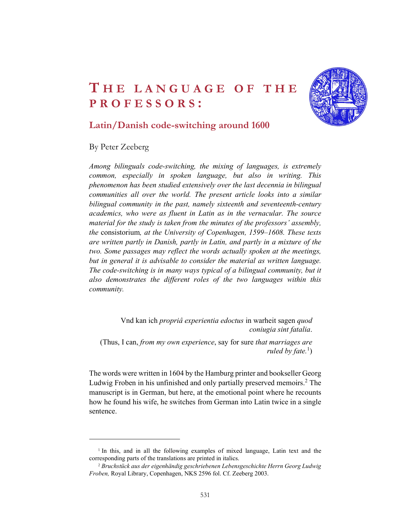## THE LANGUAGE OF THE **CALL PROFESSORS:** THE LANGUAGE OF THE **CANGUAGE OF THE SALE PROFESSORS:**<br>Latin/Danish code-switching around 1600<br>By Peter Zeeberg



## Latin/Danish code-switching around 1600

By Peter Zeeberg

Among bilinguals code-switching, the mixing of languages, is extremely common, especially in spoken language, but also in writing. This phenomenon has been studied extensively over the last decennia in bilingual communities all over the world. The present article looks into a similar bilingual community in the past, namely sixteenth and seventeenth-century academics, who were as fluent in Latin as in the vernacular. The source material for the study is taken from the minutes of the professors' assembly, the consistorium, at the University of Copenhagen, 1599–1608. These texts are written partly in Danish, partly in Latin, and partly in a mixture of the two. Some passages may reflect the words actually spoken at the meetings, but in general it is advisable to consider the material as written language. The code-switching is in many ways typical of a bilingual community, but it also demonstrates the different roles of the two languages within this community.

Vnd kan ich propriâ experientia edoctus in warheit sagen quod coniugia sint fatalia.<br>(Thus, I can, from my own experience, say for sure that marriages are

ruled by fate.<sup>1</sup>)  $)$ 

The words were written in 1604 by the Hamburg printer and bookseller Georg Ludwig Froben in his unfinished and only partially preserved memoirs.<sup>2</sup> The manuscript is in German, but here, at the emotional point where he recounts how he found his wife, he switches from German into Latin twice in a single sentence.

<sup>1</sup> In this, and in all the following examples of mixed language, Latin text and the corresponding parts of the translations are printed in italics.

<sup>2</sup> Bruchstück aus der eigenhändig geschriebenen Lebensgeschichte Herrn Georg Ludwig Froben, Royal Library, Copenhagen, NKS 2596 fol. Cf. Zeeberg 2003.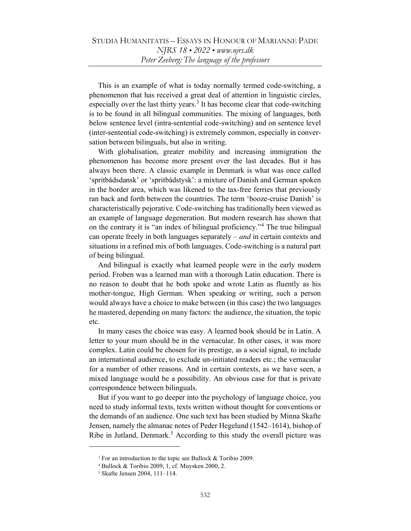This is an example of what is today normally termed code-switching, a phenomenon that has received a great deal of attention in linguistic circles, especially over the last thirty years.<sup>3</sup> It has become clear that code-switching is to be found in all bilingual communities. The mixing of languages, both below sentence level (intra-sentential code-switching) and on sentence level (inter-sentential code-switching) is extremely common, especially in conversation between bilinguals, but also in writing.

With globalisation, greater mobility and increasing immigration the phenomenon has become more present over the last decades. But it has always been there. A classic example in Denmark is what was once called 'spritbådsdansk' or 'spritbådstysk': a mixture of Danish and German spoken in the border area, which was likened to the tax-free ferries that previously ran back and forth between the countries. The term 'booze-cruise Danish' is characteristically pejorative. Code-switching has traditionally been viewed as an example of language degeneration. But modern research has shown that on the contrary it is "an index of bilingual proficiency."<sup>4</sup> The true bilingual can operate freely in both languages separately – and in certain contexts and situations in a refined mix of both languages. Code-switching is a natural part of being bilingual.

And bilingual is exactly what learned people were in the early modern period. Froben was a learned man with a thorough Latin education. There is no reason to doubt that he both spoke and wrote Latin as fluently as his mother-tongue, High German. When speaking or writing, such a person would always have a choice to make between (in this case) the two languages he mastered, depending on many factors: the audience, the situation, the topic etc.

In many cases the choice was easy. A learned book should be in Latin. A letter to your mum should be in the vernacular. In other cases, it was more complex. Latin could be chosen for its prestige, as a social signal, to include an international audience, to exclude un-initiated readers etc.; the vernacular for a number of other reasons. And in certain contexts, as we have seen, a mixed language would be a possibility. An obvious case for that is private correspondence between bilinguals.

But if you want to go deeper into the psychology of language choice, you need to study informal texts, texts written without thought for conventions or the demands of an audience. One such text has been studied by Minna Skafte Jensen, namely the almanac notes of Peder Hegelund (1542–1614), bishop of Ribe in Jutland, Denmark.<sup>5</sup> According to this study the overall picture was

<sup>3</sup> For an introduction to the topic see Bullock & Toribio 2009.

<sup>4</sup> Bullock & Toribio 2009, 1, cf. Muysken 2000, 2.

<sup>5</sup> Skafte Jensen 2004, 111–114.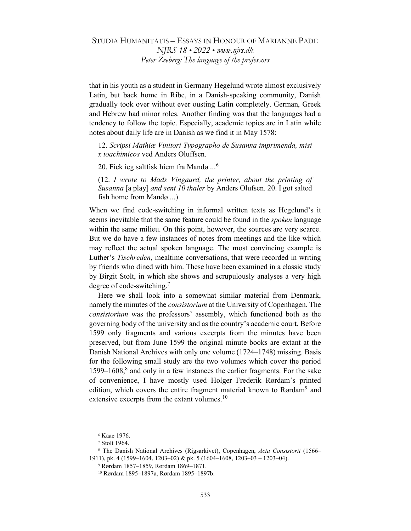that in his youth as a student in Germany Hegelund wrote almost exclusively Latin, but back home in Ribe, in a Danish-speaking community, Danish gradually took over without ever ousting Latin completely. German, Greek and Hebrew had minor roles. Another finding was that the languages had a tendency to follow the topic. Especially, academic topics are in Latin while notes about daily life are in Danish as we find it in May 1578:

12. Scripsi Mathiæ Vinitori Typographo de Susanna imprimenda, misi x ioachimicos ved Anders Oluffsen.

20. Fick ieg saltfisk hiem fra Mandø ...<sup>6</sup>

(12. I wrote to Mads Vingaard, the printer, about the printing of Susanna [a play] and sent 10 thaler by Anders Olufsen. 20. I got salted fish home from Mandø ...)

When we find code-switching in informal written texts as Hegelund's it seems inevitable that the same feature could be found in the *spoken* language within the same milieu. On this point, however, the sources are very scarce. But we do have a few instances of notes from meetings and the like which may reflect the actual spoken language. The most convincing example is Luther's Tischreden, mealtime conversations, that were recorded in writing by friends who dined with him. These have been examined in a classic study by Birgit Stolt, in which she shows and scrupulously analyses a very high degree of code-switching.<sup>7</sup>

Here we shall look into a somewhat similar material from Denmark, namely the minutes of the consistorium at the University of Copenhagen. The consistorium was the professors' assembly, which functioned both as the governing body of the university and as the country's academic court. Before 1599 only fragments and various excerpts from the minutes have been preserved, but from June 1599 the original minute books are extant at the Danish National Archives with only one volume (1724–1748) missing. Basis for the following small study are the two volumes which cover the period 1599–1608, $8$  and only in a few instances the earlier fragments. For the sake of convenience, I have mostly used Holger Frederik Rørdam's printed edition, which covers the entire fragment material known to Rørdam<sup>9</sup> and extensive excerpts from the extant volumes. $10$ 

<sup>6</sup> Kaae 1976.

<sup>7</sup> Stolt 1964.

<sup>&</sup>lt;sup>8</sup> The Danish National Archives (Rigsarkivet), Copenhagen, Acta Consistorii (1566-1911), pk. 4 (1599–1604, 1203–02) & pk. 5 (1604–1608, 1203–03 – 1203–04).

<sup>9</sup> Rørdam 1857–1859, Rørdam 1869–1871.

<sup>10</sup> Rørdam 1895–1897a, Rørdam 1895–1897b.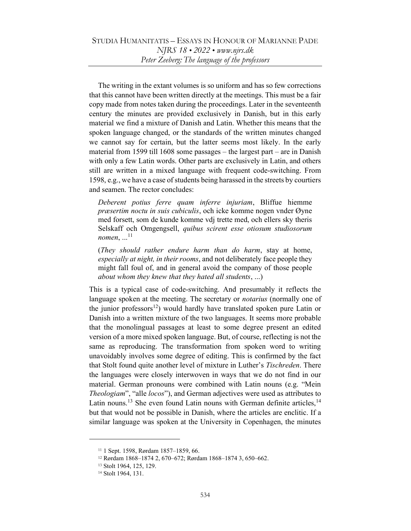The writing in the extant volumes is so uniform and has so few corrections that this cannot have been written directly at the meetings. This must be a fair copy made from notes taken during the proceedings. Later in the seventeenth century the minutes are provided exclusively in Danish, but in this early material we find a mixture of Danish and Latin. Whether this means that the spoken language changed, or the standards of the written minutes changed we cannot say for certain, but the latter seems most likely. In the early material from 1599 till 1608 some passages – the largest part – are in Danish with only a few Latin words. Other parts are exclusively in Latin, and others still are written in a mixed language with frequent code-switching. From 1598, e.g., we have a case of students being harassed in the streets by courtiers and seamen. The rector concludes:

Deberent potius ferre quam inferre injuriam, Bliffue hiemme præsertim noctu in suis cubiculis, och icke komme nogen vnder Øyne med forsett, som de kunde komme vdj trette med, och ellers sky theris Selskaff och Omgengsell, quibus scirent esse otiosum studiosorum nomen,  $\dots$ <sup>11</sup>

(They should rather endure harm than do harm, stay at home, especially at night, in their rooms, and not deliberately face people they might fall foul of, and in general avoid the company of those people about whom they knew that they hated all students, ...)

This is a typical case of code-switching. And presumably it reflects the language spoken at the meeting. The secretary or *notarius* (normally one of the junior professors<sup>12</sup>) would hardly have translated spoken pure Latin or Danish into a written mixture of the two languages. It seems more probable that the monolingual passages at least to some degree present an edited version of a more mixed spoken language. But, of course, reflecting is not the same as reproducing. The transformation from spoken word to writing unavoidably involves some degree of editing. This is confirmed by the fact that Stolt found quite another level of mixture in Luther's Tischreden. There the languages were closely interwoven in ways that we do not find in our material. German pronouns were combined with Latin nouns (e.g. "Mein Theologiam", "alle locos"), and German adjectives were used as attributes to Latin nouns.<sup>13</sup> She even found Latin nouns with German definite articles,  $14$ but that would not be possible in Danish, where the articles are enclitic. If a similar language was spoken at the University in Copenhagen, the minutes

<sup>11</sup> 1 Sept. 1598, Rørdam 1857–1859, 66.

<sup>12</sup> Rørdam 1868–1874 2, 670–672; Rørdam 1868–1874 3, 650–662.

<sup>13</sup> Stolt 1964, 125, 129.

<sup>14</sup> Stolt 1964, 131.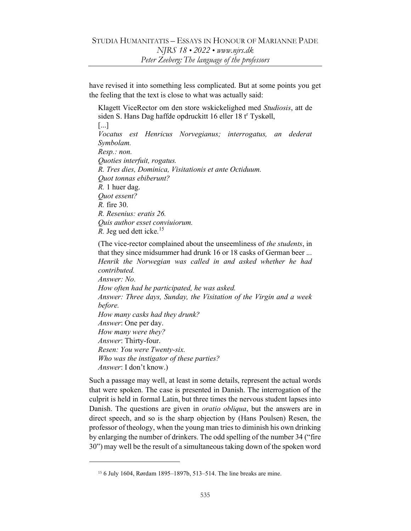have revised it into something less complicated. But at some points you get the feeling that the text is close to what was actually said:

Klagett ViceRector om den store wskickelighed med Studiosis, att de siden S. Hans Dag haffde opdruckitt 16 eller 18 t<sup>r</sup> Tyskøll, [...] Vocatus est Henricus Norvegianus; interrogatus, an dederat Symbolam. Resp.: non. Quoties interfuit, rogatus. R. Tres dies, Dominica, Visitationis et ante Octiduum. Quot tonnas ebiberunt? R. 1 huer dag. Quot essent? R. fire 30. R. Resenius: eratis 26. Quis author esset conviuiorum. R. Jeg ued dett icke. $15$ 

(The vice-rector complained about the unseemliness of the students, in that they since midsummer had drunk 16 or 18 casks of German beer ... Henrik the Norwegian was called in and asked whether he had contributed. Answer: No. How often had he participated, he was asked. Answer: Three days, Sunday, the Visitation of the Virgin and a week before. How many casks had they drunk? Answer: One per day. How many were they? Answer: Thirty-four. Resen: You were Twenty-six. Who was the instigator of these parties? Answer: I don't know.)

Such a passage may well, at least in some details, represent the actual words that were spoken. The case is presented in Danish. The interrogation of the culprit is held in formal Latin, but three times the nervous student lapses into Danish. The questions are given in *oratio obliqua*, but the answers are in direct speech, and so is the sharp objection by (Hans Poulsen) Resen, the professor of theology, when the young man tries to diminish his own drinking by enlarging the number of drinkers. The odd spelling of the number 34 ("fire 30") may well be the result of a simultaneous taking down of the spoken word

<sup>15</sup> 6 July 1604, Rørdam 1895–1897b, 513–514. The line breaks are mine.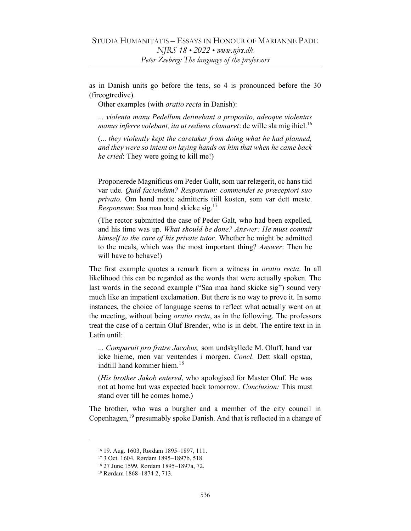as in Danish units go before the tens, so 4 is pronounced before the 30 (fireogtredive).

Other examples (with oratio recta in Danish):

... violenta manu Pedellum detinebant a proposito, adeoqve violentas *manus inferre volebant, ita ut rediens clamaret: de wille slamig ihiel.*<sup>16</sup>

(... they violently kept the caretaker from doing what he had planned, and they were so intent on laying hands on him that when he came back he cried: They were going to kill me!)

Proponerede Magnificus om Peder Gallt, som uar relægerit, oc hans tiid var ude. Quid faciendum? Responsum: commendet se præceptori suo privato. Om hand motte admitteris tiill kosten, som var dett meste. Responsum: Saa maa hand skicke sig.<sup>17</sup>

(The rector submitted the case of Peder Galt, who had been expelled, and his time was up. What should be done? Answer: He must commit himself to the care of his private tutor. Whether he might be admitted to the meals, which was the most important thing? Answer: Then he will have to behave!)

The first example quotes a remark from a witness in *oratio recta*. In all likelihood this can be regarded as the words that were actually spoken. The last words in the second example ("Saa maa hand skicke sig") sound very much like an impatient exclamation. But there is no way to prove it. In some instances, the choice of language seems to reflect what actually went on at the meeting, without being *oratio recta*, as in the following. The professors treat the case of a certain Oluf Brender, who is in debt. The entire text in in Latin until:

... Comparuit pro fratre Jacobus, som undskyllede M. Oluff, hand var icke hieme, men var ventendes i morgen. Concl. Dett skall opstaa, indtill hand kommer hiem.<sup>18</sup>

(His brother Jakob entered, who apologised for Master Oluf. He was not at home but was expected back tomorrow. Conclusion: This must stand over till he comes home.)

The brother, who was a burgher and a member of the city council in Copenhagen,<sup>19</sup> presumably spoke Danish. And that is reflected in a change of

<sup>16</sup> 19. Aug. 1603, Rørdam 1895–1897, 111.

<sup>17</sup> 3 Oct. 1604, Rørdam 1895–1897b, 518.

<sup>18</sup> 27 June 1599, Rørdam 1895–1897a, 72.

<sup>19</sup> Rørdam 1868–1874 2, 713.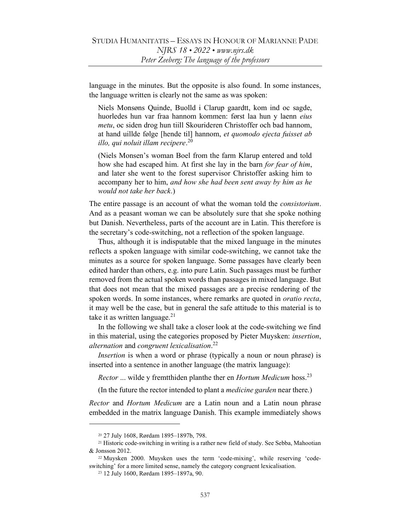language in the minutes. But the opposite is also found. In some instances, the language written is clearly not the same as was spoken:

Niels Monsøns Quinde, Buolld i Clarup gaardtt, kom ind oc sagde, huorledes hun var fraa hannom kommen: først laa hun y laenn eius metu, oc siden drog hun tiill Skourideren Christoffer och bad hannom, at hand uillde følge [hende til] hannom, et quomodo ejecta fuisset ab illo, qui noluit illam recipere. 20

(Niels Monsen's woman Boel from the farm Klarup entered and told how she had escaped him. At first she lay in the barn *for fear of him*, and later she went to the forest supervisor Christoffer asking him to accompany her to him, and how she had been sent away by him as he would not take her back.)

The entire passage is an account of what the woman told the *consistorium*. And as a peasant woman we can be absolutely sure that she spoke nothing but Danish. Nevertheless, parts of the account are in Latin. This therefore is the secretary's code-switching, not a reflection of the spoken language.

Thus, although it is indisputable that the mixed language in the minutes reflects a spoken language with similar code-switching, we cannot take the minutes as a source for spoken language. Some passages have clearly been edited harder than others, e.g. into pure Latin. Such passages must be further removed from the actual spoken words than passages in mixed language. But that does not mean that the mixed passages are a precise rendering of the spoken words. In some instances, where remarks are quoted in *oratio recta*, it may well be the case, but in general the safe attitude to this material is to take it as written language. $^{21}$ 

In the following we shall take a closer look at the code-switching we find in this material, using the categories proposed by Pieter Muysken: insertion, alternation and congruent lexicalisation.<sup>22</sup>

Insertion is when a word or phrase (typically a noun or noun phrase) is inserted into a sentence in another language (the matrix language):

*Rector* ... wilde y fremtthiden planthe ther en *Hortum Medicum* hoss.<sup>23</sup>

(In the future the rector intended to plant a medicine garden near there.)

Rector and Hortum Medicum are a Latin noun and a Latin noun phrase embedded in the matrix language Danish. This example immediately shows

<sup>20</sup> 27 July 1608, Rørdam 1895–1897b, 798.

<sup>21</sup> Historic code-switching in writing is a rather new field of study. See Sebba, Mahootian & Jonsson 2012.

<sup>22</sup> Muysken 2000. Muysken uses the term 'code-mixing', while reserving 'codeswitching' for a more limited sense, namely the category congruent lexicalisation.

<sup>23</sup> 12 July 1600, Rørdam 1895–1897a, 90.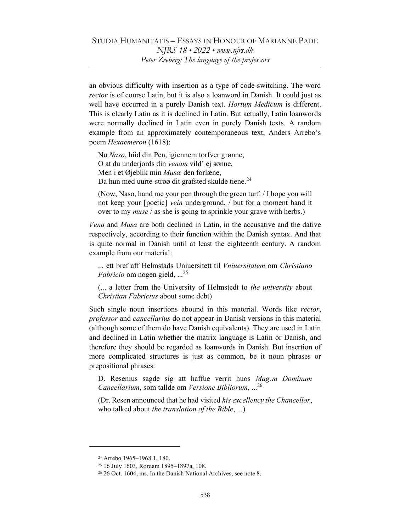an obvious difficulty with insertion as a type of code-switching. The word rector is of course Latin, but it is also a loanword in Danish. It could just as well have occurred in a purely Danish text. Hortum Medicum is different. This is clearly Latin as it is declined in Latin. But actually, Latin loanwords were normally declined in Latin even in purely Danish texts. A random example from an approximately contemporaneous text, Anders Arrebo's poem Hexaemeron (1618):

Nu Naso, hiid din Pen, igiennem torfver grønne, O at du underjords din venam vild' ej sønne, Men i et Øjeblik min Musæ den forlæne, Da hun med uurte-strøø dit grafsted skulde tiene.<sup>24</sup>

(Now, Naso, hand me your pen through the green turf. / I hope you will not keep your [poetic] vein underground, / but for a moment hand it over to my muse / as she is going to sprinkle your grave with herbs.)

Vena and Musa are both declined in Latin, in the accusative and the dative respectively, according to their function within the Danish syntax. And that is quite normal in Danish until at least the eighteenth century. A random example from our material:

... ett bref aff Helmstads Uniuersitett til Vniuersitatem om Christiano *Fabricio* om nogen gield,  $\ldots^{25}$ 

(... a letter from the University of Helmstedt to the university about Christian Fabricius about some debt)

Such single noun insertions abound in this material. Words like rector, professor and cancellarius do not appear in Danish versions in this material (although some of them do have Danish equivalents). They are used in Latin and declined in Latin whether the matrix language is Latin or Danish, and therefore they should be regarded as loanwords in Danish. But insertion of more complicated structures is just as common, be it noun phrases or prepositional phrases:

D. Resenius sagde sig att haffue verrit huos Mag:m Dominum Cancellarium, som tallde om Versione Bibliorum, ...<sup>26</sup>

(Dr. Resen announced that he had visited his excellency the Chancellor, who talked about *the translation of the Bible*, ...)

<sup>24</sup> Arrebo 1965–1968 1, 180.

<sup>25</sup> 16 July 1603, Rørdam 1895–1897a, 108.

<sup>26</sup> 26 Oct. 1604, ms. In the Danish National Archives, see note 8.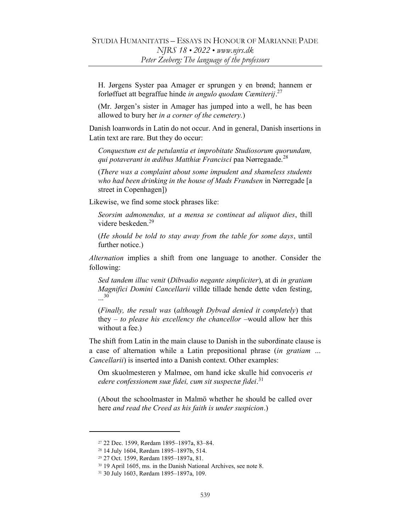H. Jørgens Syster paa Amager er sprungen y en brønd; hannem er forløffuet att begraffue hinde in angulo quodam Cæmiterij. $27$ 

(Mr. Jørgen's sister in Amager has jumped into a well, he has been allowed to bury her in a corner of the cemetery.)

Danish loanwords in Latin do not occur. And in general, Danish insertions in Latin text are rare. But they do occur:

Conquestum est de petulantia et improbitate Studiosorum quorundam, qui potaverant in ædibus Matthiæ Francisci paa Nørregaade. $^{28}$ 

(There was a complaint about some impudent and shameless students who had been drinking in the house of Mads Frandsen in Nørregade [a street in Copenhagen])

Likewise, we find some stock phrases like:

Seorsim admonendus, ut a mensa se contineat ad aliquot dies, thill videre beskeden.<sup>29</sup>

(He should be told to stay away from the table for some days, until further notice.)

Alternation implies a shift from one language to another. Consider the following:

Sed tandem illuc venit (Dibvadio negante simpliciter), at di in gratiam Magnifici Domini Cancellarii villde tillade hende dette vden festing, ... 30

(Finally, the result was (although Dybvad denied it completely) that they  $-$  to please his excellency the chancellor  $-\text{would}$  allow her this without a fee.)

The shift from Latin in the main clause to Danish in the subordinate clause is a case of alternation while a Latin prepositional phrase (in gratiam … Cancellarii) is inserted into a Danish context. Other examples:

Om skuolmesteren y Malmøe, om hand icke skulle hid convoceris et edere confessionem suæ fidei, cum sit suspectæ fidei.<sup>31</sup>

(About the schoolmaster in Malmö whether he should be called over here and read the Creed as his faith is under suspicion.)

<sup>27</sup> 22 Dec. 1599, Rørdam 1895–1897a, 83–84.

<sup>28</sup> 14 July 1604, Rørdam 1895–1897b, 514.

<sup>29</sup> 27 Oct. 1599, Rørdam 1895–1897a, 81.

<sup>30</sup> 19 April 1605, ms. in the Danish National Archives, see note 8.

<sup>31</sup> 30 July 1603, Rørdam 1895–1897a, 109.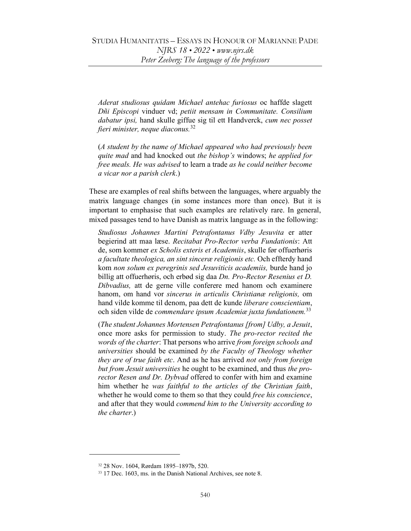Aderat studiosus quidam Michael antehac furiosus oc haffde slagett Dñi Episcopi vinduer vd; petiit mensam in Communitate. Consilium dabatur ipsi, hand skulle giffue sig til ett Handverck, cum nec posset fieri minister, neque diaconus.<sup>32</sup>

(A student by the name of Michael appeared who had previously been quite mad and had knocked out the bishop's windows; he applied for free meals. He was advised to learn a trade as he could neither become a vicar nor a parish clerk.)

These are examples of real shifts between the languages, where arguably the matrix language changes (in some instances more than once). But it is important to emphasise that such examples are relatively rare. In general, mixed passages tend to have Danish as matrix language as in the following:

Studiosus Johannes Martini Petrafontanus Vdby Jesuvita er atter begierind att maa læse. Recitabat Pro-Rector verba Fundationis: Att de, som kommer ex Scholis exteris et Academiis, skulle før offuerhøris a facultate theologica, an sint sinceræ religionis etc. Och effterdy hand kom non solum ex peregrinis sed Jesuviticis academiis, burde hand jo billig att offuerhøris, och erbød sig daa Dn. Pro-Rector Resenius et D. Dibvadius, att de gerne ville conferere med hanom och examinere hanom, om hand vor sincerus in articulis Christianæ religionis, om hand vilde komme til denom, paa dett de kunde liberare conscientiam, och siden vilde de *commendare ipsum Academiæ juxta fundationem*.<sup>33</sup>

(The student Johannes Mortensen Petrafontanus [from] Udby, a Jesuit, once more asks for permission to study. The pro-rector recited the words of the charter: That persons who arrive from foreign schools and universities should be examined by the Faculty of Theology whether they are of true faith etc. And as he has arrived not only from foreign but from Jesuit universities he ought to be examined, and thus the prorector Resen and Dr. Dybvad offered to confer with him and examine him whether he was faithful to the articles of the Christian faith, whether he would come to them so that they could free his conscience, and after that they would commend him to the University according to the charter.)

<sup>32</sup> 28 Nov. 1604, Rørdam 1895–1897b, 520.

<sup>33</sup> 17 Dec. 1603, ms. in the Danish National Archives, see note 8.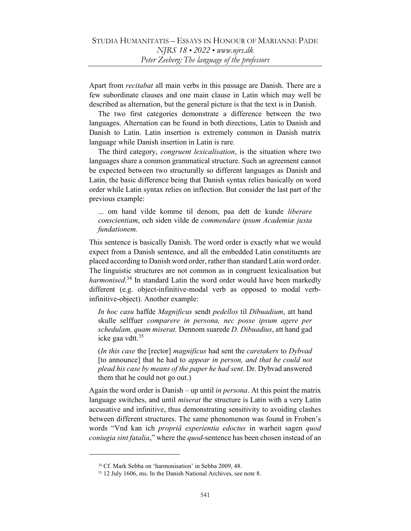Apart from *recitabat* all main verbs in this passage are Danish. There are a few subordinate clauses and one main clause in Latin which may well be described as alternation, but the general picture is that the text is in Danish.

The two first categories demonstrate a difference between the two languages. Alternation can be found in both directions, Latin to Danish and Danish to Latin. Latin insertion is extremely common in Danish matrix language while Danish insertion in Latin is rare.

The third category, congruent lexicalisation, is the situation where two languages share a common grammatical structure. Such an agreement cannot be expected between two structurally so different languages as Danish and Latin, the basic difference being that Danish syntax relies basically on word order while Latin syntax relies on inflection. But consider the last part of the previous example:

... om hand vilde komme til denom, paa dett de kunde liberare conscientiam, och siden vilde de commendare ipsum Academiæ juxta fundationem.

This sentence is basically Danish. The word order is exactly what we would expect from a Danish sentence, and all the embedded Latin constituents are placed according to Danish word order, rather than standard Latin word order. The linguistic structures are not common as in congruent lexicalisation but harmonised.<sup>34</sup> In standard Latin the word order would have been markedly different (e.g. object-infinitive-modal verb as opposed to modal verbinfinitive-object). Another example:

In hoc casu haffde Magnificus sendt pedellos til Dibuadium, att hand skulle selffuer comparere in persona, nec posse ipsum agere per schedulam, quam miserat. Dennom suarede D. Dibuadius, att hand gad icke gaa vdtt.<sup>35</sup>

(In this case the [rector] magnificus had sent the caretakers to Dybvad [to announce] that he had to *appear in person, and that he could not* plead his case by means of the paper he had sent. Dr. Dybvad answered them that he could not go out.)

Again the word order is Danish – up until in persona. At this point the matrix language switches, and until *miserat* the structure is Latin with a very Latin accusative and infinitive, thus demonstrating sensitivity to avoiding clashes between different structures. The same phenomenon was found in Froben's words "Vnd kan ich propriâ experientia edoctus in warheit sagen quod coniugia sint fatalia," where the quod-sentence has been chosen instead of an

<sup>34</sup> Cf. Mark Sebba on 'harmonisation' in Sebba 2009, 48.

<sup>35</sup> 12 July 1606, ms. In the Danish National Archives, see note 8.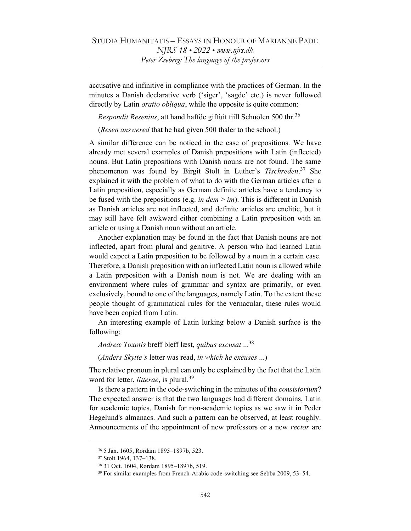accusative and infinitive in compliance with the practices of German. In the minutes a Danish declarative verb ('siger', 'sagde' etc.) is never followed directly by Latin *oratio obliqua*, while the opposite is quite common:

*Respondit Resenius*, att hand haffde giffuit tiill Schuolen 500 thr.<sup>36</sup>

(Resen answered that he had given 500 thaler to the school.)

A similar difference can be noticed in the case of prepositions. We have already met several examples of Danish prepositions with Latin (inflected) nouns. But Latin prepositions with Danish nouns are not found. The same phenomenon was found by Birgit Stolt in Luther's Tischreden.<sup>37</sup> She explained it with the problem of what to do with the German articles after a Latin preposition, especially as German definite articles have a tendency to be fused with the prepositions (e.g. in  $dem > im$ ). This is different in Danish as Danish articles are not inflected, and definite articles are enclitic, but it may still have felt awkward either combining a Latin preposition with an article or using a Danish noun without an article.

Another explanation may be found in the fact that Danish nouns are not inflected, apart from plural and genitive. A person who had learned Latin would expect a Latin preposition to be followed by a noun in a certain case. Therefore, a Danish preposition with an inflected Latin noun is allowed while a Latin preposition with a Danish noun is not. We are dealing with an environment where rules of grammar and syntax are primarily, or even exclusively, bound to one of the languages, namely Latin. To the extent these people thought of grammatical rules for the vernacular, these rules would have been copied from Latin.

An interesting example of Latin lurking below a Danish surface is the following:

Andreæ Toxotis breff bleff læst, quibus excusat ...<sup>38</sup>

(Anders Skytte's letter was read, in which he excuses ...)

The relative pronoun in plural can only be explained by the fact that the Latin word for letter, *litterae*, is plural.<sup>39</sup>

Is there a pattern in the code-switching in the minutes of the consistorium? The expected answer is that the two languages had different domains, Latin for academic topics, Danish for non-academic topics as we saw it in Peder Hegelund's almanacs. And such a pattern can be observed, at least roughly. Announcements of the appointment of new professors or a new *rector* are

<sup>36</sup> 5 Jan. 1605, Rørdam 1895–1897b, 523.

<sup>37</sup> Stolt 1964, 137–138.

<sup>38</sup> 31 Oct. 1604, Rørdam 1895–1897b, 519.

<sup>39</sup> For similar examples from French-Arabic code-switching see Sebba 2009, 53–54.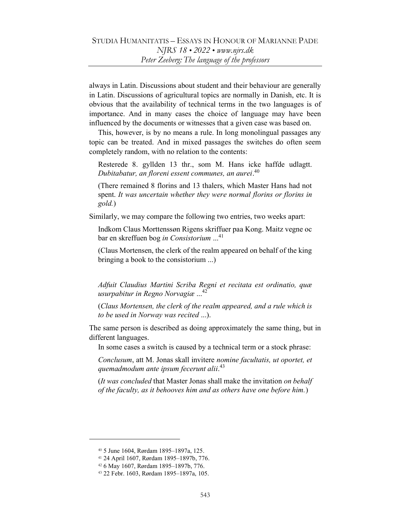always in Latin. Discussions about student and their behaviour are generally in Latin. Discussions of agricultural topics are normally in Danish, etc. It is obvious that the availability of technical terms in the two languages is of importance. And in many cases the choice of language may have been influenced by the documents or witnesses that a given case was based on.

This, however, is by no means a rule. In long monolingual passages any topic can be treated. And in mixed passages the switches do often seem completely random, with no relation to the contents:

Resterede 8. gyllden 13 thr., som M. Hans icke haffde udlagtt. Dubitabatur, an floreni essent communes, an aurei.<sup>40</sup>

(There remained 8 florins and 13 thalers, which Master Hans had not spent. It was uncertain whether they were normal florins or florins in gold.)

Similarly, we may compare the following two entries, two weeks apart:

Indkom Claus Morttenssøn Rigens skriffuer paa Kong. Maitz vegne oc bar en skreffuen bog in Consistorium ...<sup>41</sup>

(Claus Mortensen, the clerk of the realm appeared on behalf of the king bringing a book to the consistorium ...)

Adfuit Claudius Martini Scriba Regni et recitata est ordinatio, quæ usurpabitur in Regno Norvagiæ ... 42

(Claus Mortensen, the clerk of the realm appeared, and a rule which is to be used in Norway was recited ...).

The same person is described as doing approximately the same thing, but in different languages.

In some cases a switch is caused by a technical term or a stock phrase:

Conclusum, att M. Jonas skall invitere nomine facultatis, ut oportet, et quemadmodum ante ipsum fecerunt alii.<sup>43</sup>

(It was concluded that Master Jonas shall make the invitation on behalf of the faculty, as it behooves him and as others have one before him.)

<sup>40</sup> 5 June 1604, Rørdam 1895–1897a, 125.

<sup>41</sup> 24 April 1607, Rørdam 1895–1897b, 776.

<sup>42</sup> 6 May 1607, Rørdam 1895–1897b, 776.

<sup>43</sup> 22 Febr. 1603, Rørdam 1895–1897a, 105.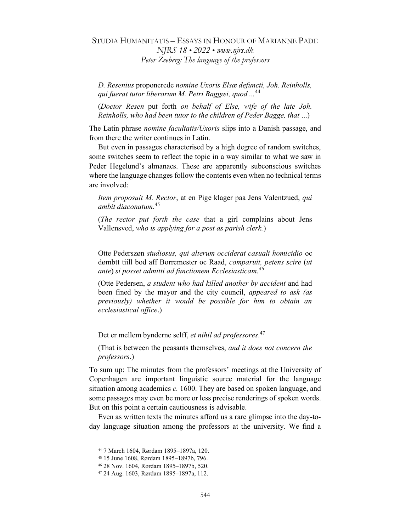D. Resenius proponerede nomine Uxoris Elsæ defuncti, Joh. Reinholls, qui fuerat tutor liberorum M. Petri Baggæi, quod ...<sup>44</sup>

(Doctor Resen put forth on behalf of Else, wife of the late Joh. Reinholls, who had been tutor to the children of Peder Bagge, that ...)

The Latin phrase *nomine facultatis/Uxoris* slips into a Danish passage, and from there the writer continues in Latin.

But even in passages characterised by a high degree of random switches, some switches seem to reflect the topic in a way similar to what we saw in Peder Hegelund's almanacs. These are apparently subconscious switches where the language changes follow the contents even when no technical terms are involved:

Item proposuit M. Rector, at en Pige klager paa Jens Valentzued, qui ambit diaconatum.<sup>45</sup>

(*The rector put forth the case that a girl complains about Jens* Vallensved, who is applying for a post as parish clerk.)

Otte Pederszøn studiosus, qui alterum occiderat casuali homicidio oc dømbtt tiill bod aff Borremester oc Raad, comparuit, petens scire (ut ante) si posset admitti ad functionem Ecclesiasticam.<sup>46</sup>

(Otte Pedersen, a student who had killed another by accident and had been fined by the mayor and the city council, *appeared to ask (as* previously) whether it would be possible for him to obtain an ecclesiastical office.)

Det er mellem bynderne selff, et nihil ad professores.<sup>47</sup>

(That is between the peasants themselves, and it does not concern the professors.)

To sum up: The minutes from the professors' meetings at the University of Copenhagen are important linguistic source material for the language situation among academics  $c$ . 1600. They are based on spoken language, and some passages may even be more or less precise renderings of spoken words. But on this point a certain cautiousness is advisable.

Even as written texts the minutes afford us a rare glimpse into the day-today language situation among the professors at the university. We find a

<sup>44</sup> 7 March 1604, Rørdam 1895–1897a, 120.

<sup>45</sup> 15 June 1608, Rørdam 1895–1897b, 796.

<sup>46</sup> 28 Nov. 1604, Rørdam 1895–1897b, 520.

<sup>47</sup> 24 Aug. 1603, Rørdam 1895–1897a, 112.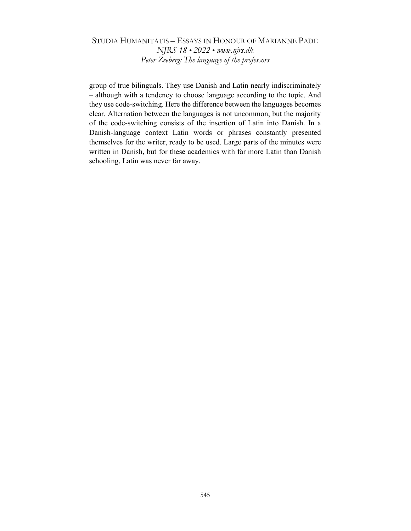group of true bilinguals. They use Danish and Latin nearly indiscriminately – although with a tendency to choose language according to the topic. And they use code-switching. Here the difference between the languages becomes clear. Alternation between the languages is not uncommon, but the majority of the code-switching consists of the insertion of Latin into Danish. In a Danish-language context Latin words or phrases constantly presented themselves for the writer, ready to be used. Large parts of the minutes were written in Danish, but for these academics with far more Latin than Danish schooling, Latin was never far away.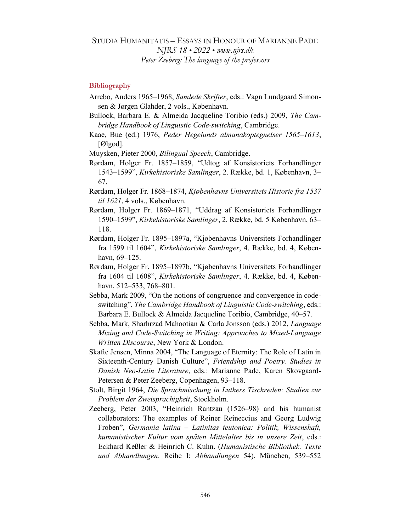## Bibliography

- Arrebo, Anders 1965–1968, Samlede Skrifter, eds.: Vagn Lundgaard Simonsen & Jørgen Glahder, 2 vols., København.
- Bullock, Barbara E. & Almeida Jacqueline Toribio (eds.) 2009, The Cambridge Handbook of Linguistic Code-switching, Cambridge.
- Kaae, Bue (ed.) 1976, Peder Hegelunds almanakoptegnelser 1565–1613, [Ølgod].
- Muysken, Pieter 2000, Bilingual Speech, Cambridge.
- Rørdam, Holger Fr. 1857–1859, "Udtog af Konsistoriets Forhandlinger 1543–1599", Kirkehistoriske Samlinger, 2. Række, bd. 1, København, 3– 67.
- Rørdam, Holger Fr. 1868–1874, Kjøbenhavns Universitets Historie fra 1537 til 1621, 4 vols., København.
- Rørdam, Holger Fr. 1869–1871, "Uddrag af Konsistoriets Forhandlinger 1590–1599", Kirkehistoriske Samlinger, 2. Række, bd. 5 København, 63– 118.
- Rørdam, Holger Fr. 1895–1897a, "Kjøbenhavns Universitets Forhandlinger fra 1599 til 1604", Kirkehistoriske Samlinger, 4. Række, bd. 4, København, 69–125.
- Rørdam, Holger Fr. 1895–1897b, "Kjøbenhavns Universitets Forhandlinger fra 1604 til 1608", Kirkehistoriske Samlinger, 4. Række, bd. 4, København, 512–533, 768–801.
- Sebba, Mark 2009, "On the notions of congruence and convergence in codeswitching", The Cambridge Handbook of Linguistic Code-switching, eds.: Barbara E. Bullock & Almeida Jacqueline Toribio, Cambridge, 40–57.
- Sebba, Mark, Sharhrzad Mahootian & Carla Jonsson (eds.) 2012, Language Mixing and Code-Switching in Writing: Approaches to Mixed-Language Written Discourse, New York & London.
- Skafte Jensen, Minna 2004, "The Language of Eternity: The Role of Latin in Sixteenth-Century Danish Culture", Friendship and Poetry. Studies in Danish Neo-Latin Literature, eds.: Marianne Pade, Karen Skovgaard-Petersen & Peter Zeeberg, Copenhagen, 93–118.
- Stolt, Birgit 1964, Die Sprachmischung in Luthers Tischreden: Studien zur Problem der Zweisprachigkeit, Stockholm.
- Zeeberg, Peter 2003, "Heinrich Rantzau (1526–98) and his humanist collaborators: The examples of Reiner Reineccius and Georg Ludwig Froben", Germania latina – Latinitas teutonica: Politik, Wissenshaft, humanistischer Kultur vom späten Mittelalter bis in unsere Zeit, eds.: Eckhard Keßler & Heinrich C. Kuhn. (Humanistische Bibliothek: Texte und Abhandlungen. Reihe I: Abhandlungen 54), München, 539–552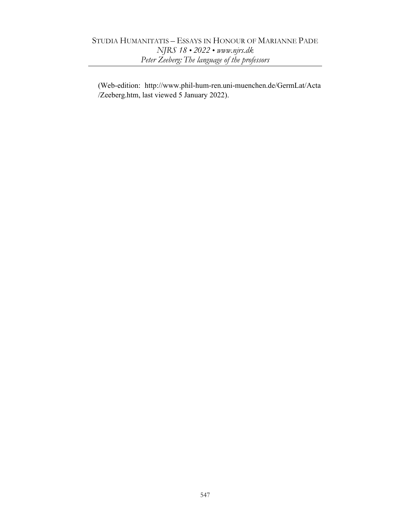(Web-edition: http://www.phil-hum-ren.uni-muenchen.de/GermLat/Acta /Zeeberg.htm, last viewed 5 January 2022).